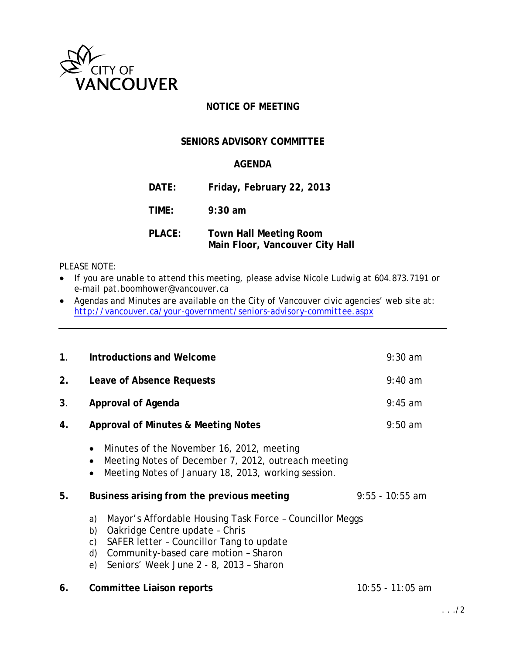

## **NOTICE OF MEETING**

## **SENIORS ADVISORY COMMITTEE**

### **AGENDA**

**DATE: Friday, February 22, 2013**

**TIME: 9:30 am**

# **PLACE: Town Hall Meeting Room Main Floor, Vancouver City Hall**

#### *PLEASE NOTE:*

- *If you are unable to attend this meeting, please advise Nicole Ludwig at 604.873.7191 or e-mail pat.boomhower@vancouver.ca*
- *Agendas and Minutes are available on the City of Vancouver civic agencies' web site at: <http://vancouver.ca/your-government/seniors-advisory-committee.aspx>*

| $\mathbf{1}$ . | <b>Introductions and Welcome</b>                                                                                                                                                                                                                        | $9:30$ am          |
|----------------|---------------------------------------------------------------------------------------------------------------------------------------------------------------------------------------------------------------------------------------------------------|--------------------|
| 2.             | Leave of Absence Requests                                                                                                                                                                                                                               | $9:40$ am          |
| 3.             | <b>Approval of Agenda</b><br>$9:45$ am                                                                                                                                                                                                                  |                    |
| 4.             | <b>Approval of Minutes &amp; Meeting Notes</b>                                                                                                                                                                                                          | $9:50$ am          |
| 5.             | Minutes of the November 16, 2012, meeting<br>$\bullet$<br>Meeting Notes of December 7, 2012, outreach meeting<br>$\bullet$<br>Meeting Notes of January 18, 2013, working session.<br>$\bullet$<br>Business arising from the previous meeting            | $9:55 - 10:55$ am  |
|                | Mayor's Affordable Housing Task Force - Councillor Meggs<br>a)<br>Oakridge Centre update - Chris<br>b)<br>SAFER letter - Councillor Tang to update<br>c)<br>Community-based care motion - Sharon<br>d)<br>Seniors' Week June 2 - 8, 2013 - Sharon<br>e) |                    |
| 6.             | Committee Liaison reports                                                                                                                                                                                                                               | $10:55 - 11:05$ am |